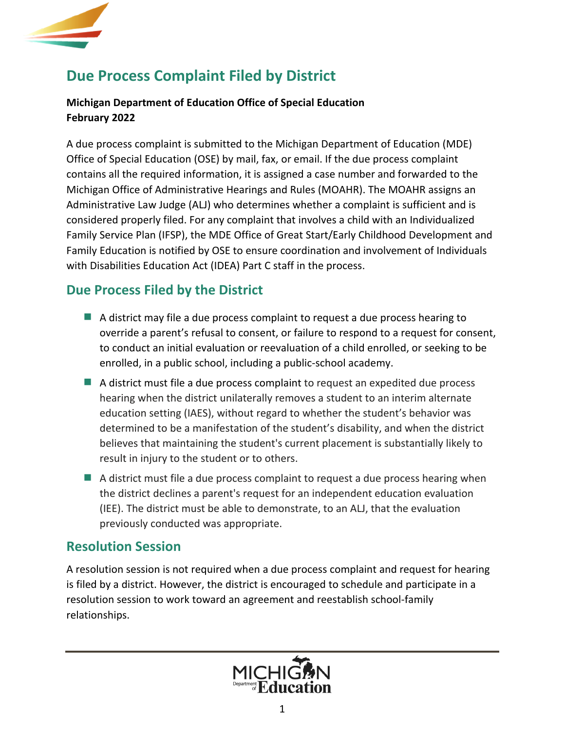

# **Due Process Complaint Filed by District**

#### **Michigan Department of Education Office of Special Education February 2022**

A due process complaint is submitted to the Michigan Department of Education (MDE) Office of Special Education (OSE) by mail, fax, or email. If the due process complaint contains all the required information, it is assigned a case number and forwarded to the Michigan Office of Administrative Hearings and Rules (MOAHR). The MOAHR assigns an Administrative Law Judge (ALJ) who determines whether a complaint is sufficient and is considered properly filed. For any complaint that involves a child with an Individualized Family Service Plan (IFSP), the MDE Office of Great Start/Early Childhood Development and Family Education is notified by OSE to ensure coordination and involvement of Individuals with Disabilities Education Act (IDEA) Part C staff in the process.

## **Due Process Filed by the District**

- A district may file a due process complaint to request a due process hearing to override a parent's refusal to consent, or failure to respond to a request for consent, to conduct an initial evaluation or reevaluation of a child enrolled, or seeking to be enrolled, in a public school, including a public-school academy.
- A district must file a due process complaint to request an expedited due process hearing when the district unilaterally removes a student to an interim alternate education setting (IAES), without regard to whether the student's behavior was determined to be a manifestation of the student's disability, and when the district believes that maintaining the student's current placement is substantially likely to result in injury to the student or to others.
- $\blacksquare$  A district must file a due process complaint to request a due process hearing when the district declines a parent's request for an independent education evaluation (IEE). The district must be able to demonstrate, to an ALJ, that the evaluation previously conducted was appropriate.

### **Resolution Session**

A resolution session is not required when a due process complaint and request for hearing is filed by a district. However, the district is encouraged to schedule and participate in a resolution session to work toward an agreement and reestablish school-family relationships.

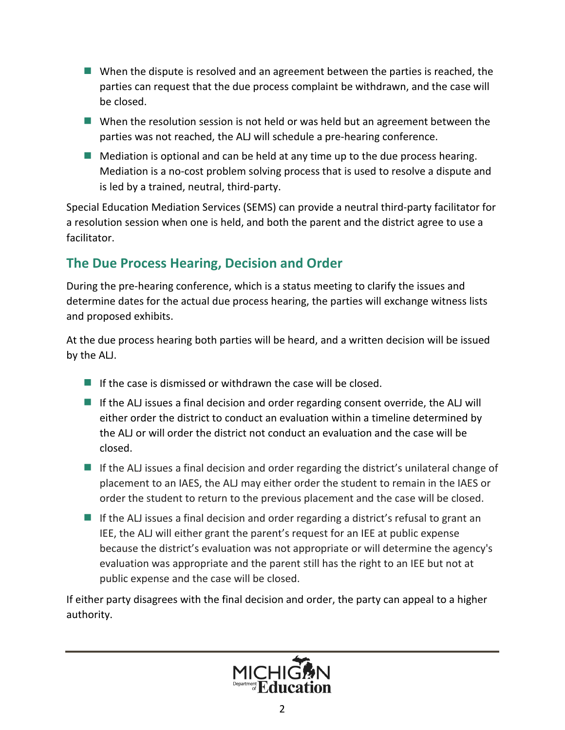- $\blacksquare$  When the dispute is resolved and an agreement between the parties is reached, the parties can request that the due process complaint be withdrawn, and the case will be closed.
- $\blacksquare$  When the resolution session is not held or was held but an agreement between the parties was not reached, the ALJ will schedule a pre-hearing conference.
- $\blacksquare$  Mediation is optional and can be held at any time up to the due process hearing. Mediation is a no-cost problem solving process that is used to resolve a dispute and is led by a trained, neutral, third-party.

Special Education Mediation Services (SEMS) can provide a neutral third-party facilitator for a resolution session when one is held, and both the parent and the district agree to use a facilitator.

# **The Due Process Hearing, Decision and Order**

During the pre-hearing conference, which is a status meeting to clarify the issues and determine dates for the actual due process hearing, the parties will exchange witness lists and proposed exhibits.

At the due process hearing both parties will be heard, and a written decision will be issued by the ALJ.

- If the case is dismissed or withdrawn the case will be closed.
- If the ALJ issues a final decision and order regarding consent override, the ALJ will either order the district to conduct an evaluation within a timeline determined by the ALJ or will order the district not conduct an evaluation and the case will be closed.
- If the ALJ issues a final decision and order regarding the district's unilateral change of placement to an IAES, the ALJ may either order the student to remain in the IAES or order the student to return to the previous placement and the case will be closed.
- If the ALJ issues a final decision and order regarding a district's refusal to grant an IEE, the ALJ will either grant the parent's request for an IEE at public expense because the district's evaluation was not appropriate or will determine the agency's evaluation was appropriate and the parent still has the right to an IEE but not at public expense and the case will be closed.

If either party disagrees with the final decision and order, the party can appeal to a higher authority.

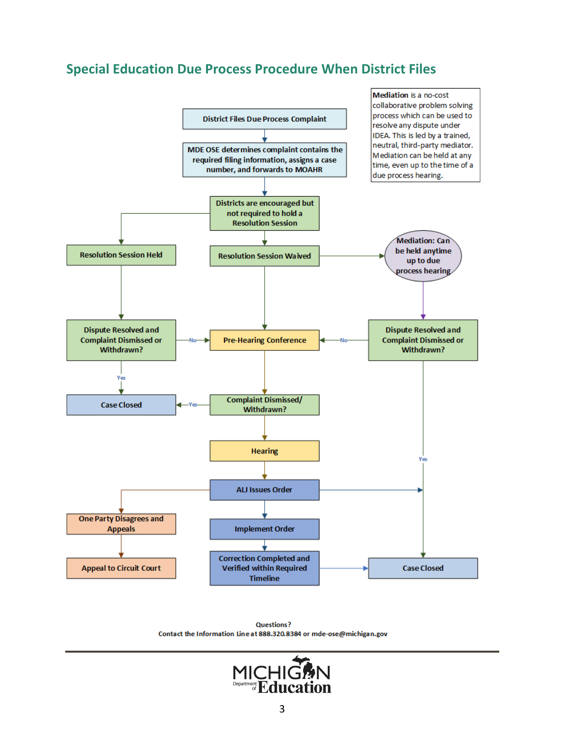# **Special Education Due Process Procedure When District Files**



**Questions?** Contact the Information Line at 888.320.8384 or mde-ose@michigan.gov

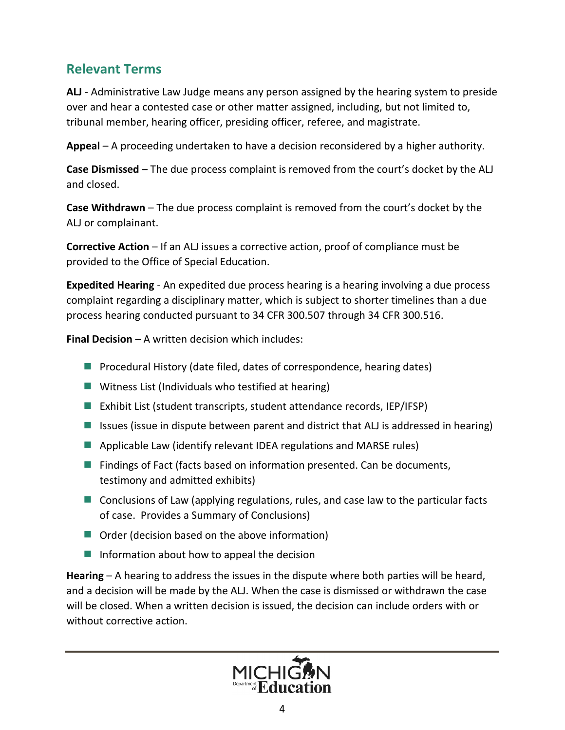# **Relevant Terms**

**ALJ** - Administrative Law Judge means any person assigned by the hearing system to preside over and hear a contested case or other matter assigned, including, but not limited to, tribunal member, hearing officer, presiding officer, referee, and magistrate.

**Appeal** – A proceeding undertaken to have a decision reconsidered by a higher authority.

**Case Dismissed** – The due process complaint is removed from the court's docket by the ALJ and closed.

**Case Withdrawn** – The due process complaint is removed from the court's docket by the ALJ or complainant.

**Corrective Action** – If an ALJ issues a corrective action, proof of compliance must be provided to the Office of Special Education.

**Expedited Hearing** - An expedited due process hearing is a hearing involving a due process complaint regarding a disciplinary matter, which is subject to shorter timelines than a due process hearing conducted pursuant to 34 CFR 300.507 through 34 CFR 300.516.

**Final Decision** – A written decision which includes:

- **Procedural History (date filed, dates of correspondence, hearing dates)**
- $\blacksquare$  Witness List (Individuals who testified at hearing)
- Exhibit List (student transcripts, student attendance records, IEP/IFSP)
- Issues (issue in dispute between parent and district that ALJ is addressed in hearing)
- **Applicable Law (identify relevant IDEA regulations and MARSE rules)**
- **Findings of Fact (facts based on information presented. Can be documents,** testimony and admitted exhibits)
- **E** Conclusions of Law (applying regulations, rules, and case law to the particular facts of case. Provides a Summary of Conclusions)
- $\blacksquare$  Order (decision based on the above information)
- Information about how to appeal the decision

**Hearing** – A hearing to address the issues in the dispute where both parties will be heard, and a decision will be made by the ALJ. When the case is dismissed or withdrawn the case will be closed. When a written decision is issued, the decision can include orders with or without corrective action.